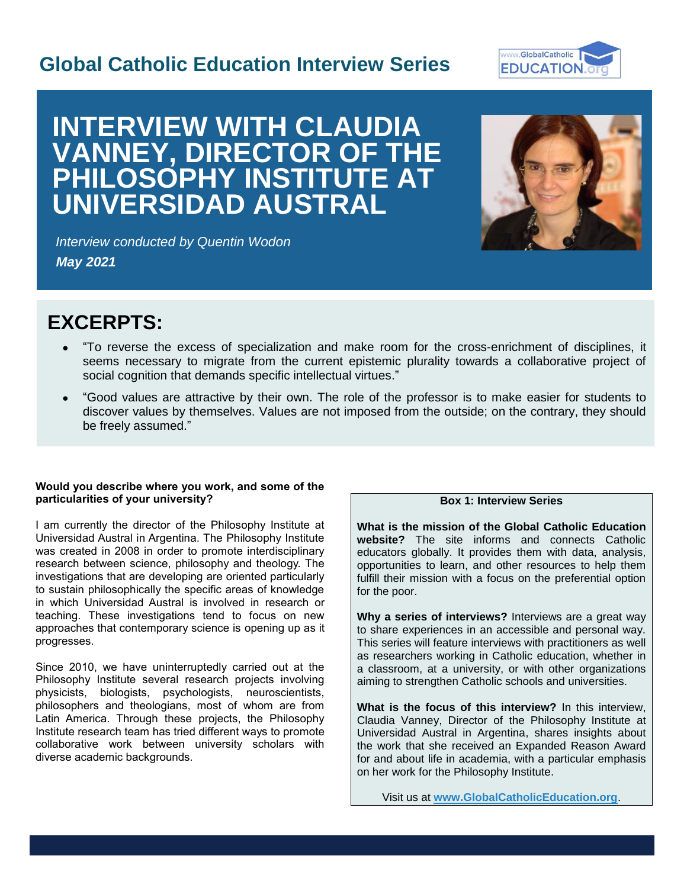## **Global Catholic Education Interview Series**



# **INTERVIEW WITH CLAUDIA VANNEY, DIRECTOR OF THE PHILOSOPHY INSTITUTE AT UNIVERSIDAD AUSTRAL**



*Interview conducted by Quentin Wodon May 2021*

## **EXCERPTS:**

- "To reverse the excess of specialization and make room for the cross-enrichment of disciplines, it seems necessary to migrate from the current epistemic plurality towards a collaborative project of social cognition that demands specific intellectual virtues."
- "Good values are attractive by their own. The role of the professor is to make easier for students to discover values by themselves. Values are not imposed from the outside; on the contrary, they should be freely assumed."

#### **Would you describe where you work, and some of the particularities of your university?**

I am currently the director of the Philosophy Institute at Universidad Austral in Argentina. The Philosophy Institute was created in 2008 in order to promote interdisciplinary research between science, philosophy and theology. The investigations that are developing are oriented particularly to sustain philosophically the specific areas of knowledge in which Universidad Austral is involved in research or teaching. These investigations tend to focus on new approaches that contemporary science is opening up as it progresses.

Since 2010, we have uninterruptedly carried out at the Philosophy Institute several research projects involving physicists, biologists, psychologists, neuroscientists, philosophers and theologians, most of whom are from Latin America. Through these projects, the Philosophy Institute research team has tried different ways to promote collaborative work between university scholars with diverse academic backgrounds.

### **Box 1: Interview Series**

**What is the mission of the Global Catholic Education website?** The site informs and connects Catholic educators globally. It provides them with data, analysis, opportunities to learn, and other resources to help them fulfill their mission with a focus on the preferential option for the poor.

**Why a series of interviews?** Interviews are a great way to share experiences in an accessible and personal way. This series will feature interviews with practitioners as well as researchers working in Catholic education, whether in a classroom, at a university, or with other organizations aiming to strengthen Catholic schools and universities.

**What is the focus of this interview?** In this interview, Claudia Vanney, Director of the Philosophy Institute at Universidad Austral in Argentina, shares insights about the work that she received an Expanded Reason Award for and about life in academia, with a particular emphasis on her work for the Philosophy Institute.

Visit us at **[www.GlobalCatholicEducation.org](http://www.globalcatholiceducation.org/)**.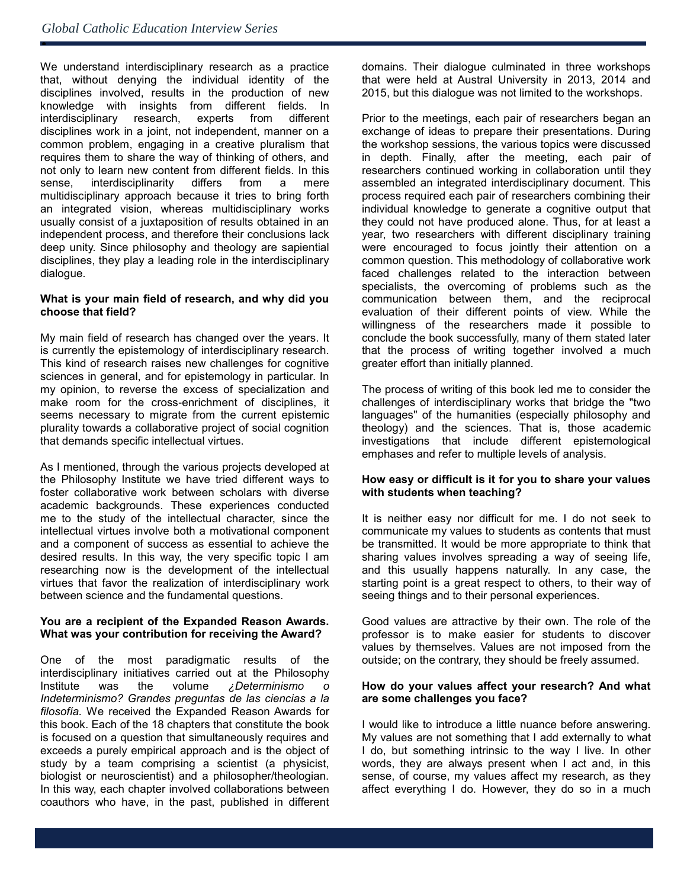ė

We understand interdisciplinary research as a practice that, without denying the individual identity of the disciplines involved, results in the production of new knowledge with insights from different fields. In interdisciplinary research, experts from different disciplines work in a joint, not independent, manner on a common problem, engaging in a creative pluralism that requires them to share the way of thinking of others, and not only to learn new content from different fields. In this sense, interdisciplinarity differs from a mere multidisciplinary approach because it tries to bring forth an integrated vision, whereas multidisciplinary works usually consist of a juxtaposition of results obtained in an independent process, and therefore their conclusions lack deep unity. Since philosophy and theology are sapiential disciplines, they play a leading role in the interdisciplinary dialogue.

#### **What is your main field of research, and why did you choose that field?**

My main field of research has changed over the years. It is currently the epistemology of interdisciplinary research. This kind of research raises new challenges for cognitive sciences in general, and for epistemology in particular. In my opinion, to reverse the excess of specialization and make room for the cross-enrichment of disciplines, it seems necessary to migrate from the current epistemic plurality towards a collaborative project of social cognition that demands specific intellectual virtues.

As I mentioned, through the various projects developed at the Philosophy Institute we have tried different ways to foster collaborative work between scholars with diverse academic backgrounds. These experiences conducted me to the study of the intellectual character, since the intellectual virtues involve both a motivational component and a component of success as essential to achieve the desired results. In this way, the very specific topic I am researching now is the development of the intellectual virtues that favor the realization of interdisciplinary work between science and the fundamental questions.

#### **You are a recipient of the Expanded Reason Awards. What was your contribution for receiving the Award?**

One of the most paradigmatic results of the interdisciplinary initiatives carried out at the Philosophy Institute was the volume *¿Determinismo o Indeterminismo? Grandes preguntas de las ciencias a la filosofía.* We received the Expanded Reason Awards for this book. Each of the 18 chapters that constitute the book is focused on a question that simultaneously requires and exceeds a purely empirical approach and is the object of study by a team comprising a scientist (a physicist, biologist or neuroscientist) and a philosopher/theologian. In this way, each chapter involved collaborations between coauthors who have, in the past, published in different domains. Their dialogue culminated in three workshops that were held at Austral University in 2013, 2014 and 2015, but this dialogue was not limited to the workshops.

Prior to the meetings, each pair of researchers began an exchange of ideas to prepare their presentations. During the workshop sessions, the various topics were discussed in depth. Finally, after the meeting, each pair of researchers continued working in collaboration until they assembled an integrated interdisciplinary document. This process required each pair of researchers combining their individual knowledge to generate a cognitive output that they could not have produced alone. Thus, for at least a year, two researchers with different disciplinary training were encouraged to focus jointly their attention on a common question. This methodology of collaborative work faced challenges related to the interaction between specialists, the overcoming of problems such as the communication between them, and the reciprocal evaluation of their different points of view. While the willingness of the researchers made it possible to conclude the book successfully, many of them stated later that the process of writing together involved a much greater effort than initially planned.

The process of writing of this book led me to consider the challenges of interdisciplinary works that bridge the "two languages" of the humanities (especially philosophy and theology) and the sciences. That is, those academic investigations that include different epistemological emphases and refer to multiple levels of analysis.

#### **How easy or difficult is it for you to share your values with students when teaching?**

It is neither easy nor difficult for me. I do not seek to communicate my values to students as contents that must be transmitted. It would be more appropriate to think that sharing values involves spreading a way of seeing life, and this usually happens naturally. In any case, the starting point is a great respect to others, to their way of seeing things and to their personal experiences.

Good values are attractive by their own. The role of the professor is to make easier for students to discover values by themselves. Values are not imposed from the outside; on the contrary, they should be freely assumed.

#### **How do your values affect your research? And what are some challenges you face?**

I would like to introduce a little nuance before answering. My values are not something that I add externally to what I do, but something intrinsic to the way I live. In other words, they are always present when I act and, in this sense, of course, my values affect my research, as they affect everything I do. However, they do so in a much